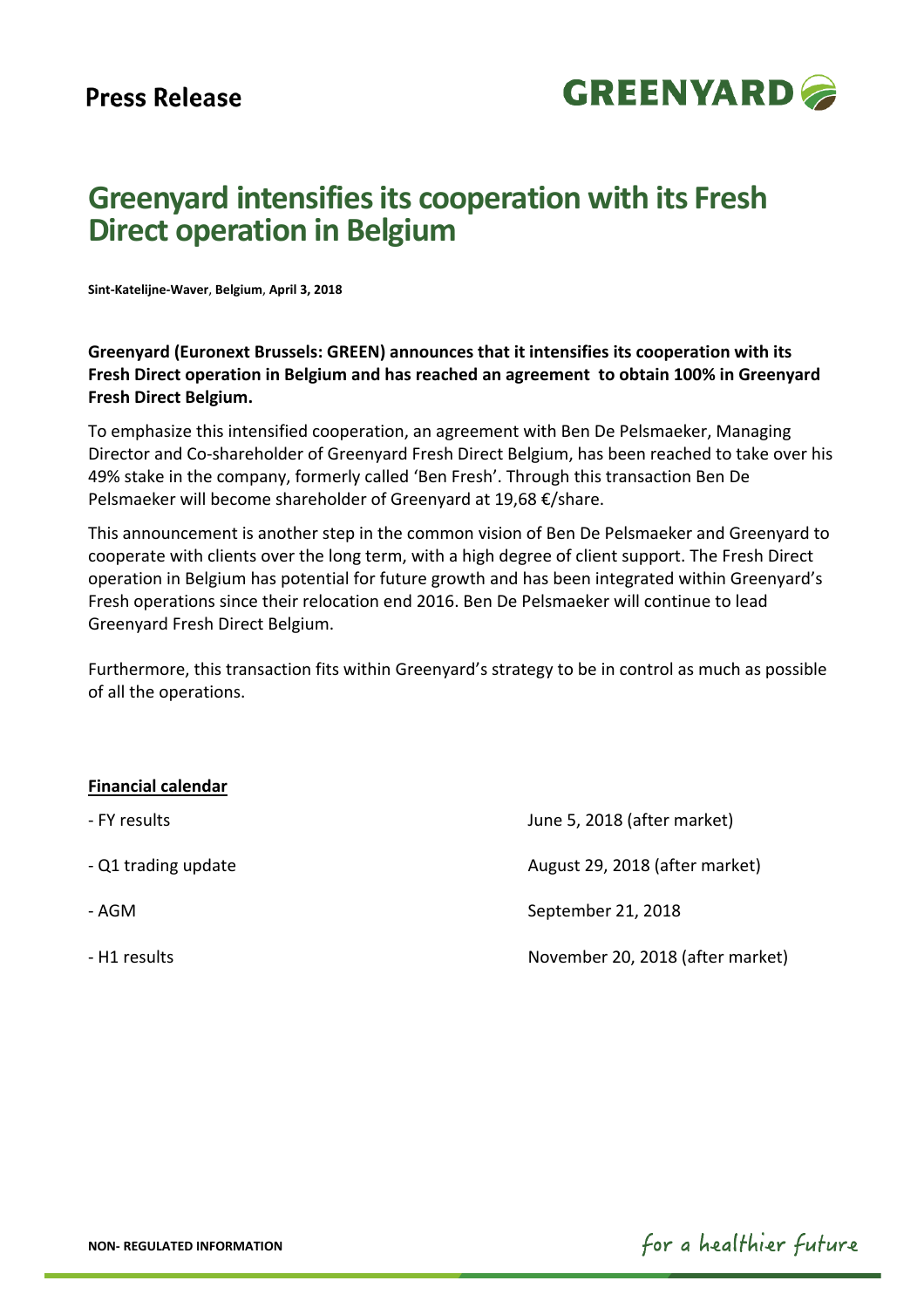

# **Greenyard intensifiesits cooperation with its Fresh Direct operation in Belgium**

**Sint‐Katelijne‐Waver**, **Belgium**, **April 3, 2018** 

**Greenyard (Euronext Brussels: GREEN) announces that it intensifies its cooperation with its Fresh Direct operation in Belgium and has reached an agreement to obtain 100% in Greenyard Fresh Direct Belgium.** 

To emphasize this intensified cooperation, an agreement with Ben De Pelsmaeker, Managing Director and Co‐shareholder of Greenyard Fresh Direct Belgium, has been reached to take over his 49% stake in the company, formerly called 'Ben Fresh'. Through this transaction Ben De Pelsmaeker will become shareholder of Greenyard at 19,68 €/share.

This announcement is another step in the common vision of Ben De Pelsmaeker and Greenyard to cooperate with clients over the long term, with a high degree of client support. The Fresh Direct operation in Belgium has potential for future growth and has been integrated within Greenyard's Fresh operations since their relocation end 2016. Ben De Pelsmaeker will continue to lead Greenyard Fresh Direct Belgium.

Furthermore, this transaction fits within Greenyard's strategy to be in control as much as possible of all the operations.

## **Financial calendar**

| - FY results        | June 5, 2018 (after market)      |
|---------------------|----------------------------------|
| - Q1 trading update | August 29, 2018 (after market)   |
| - AGM               | September 21, 2018               |
| - H1 results        | November 20, 2018 (after market) |

for a healthier future